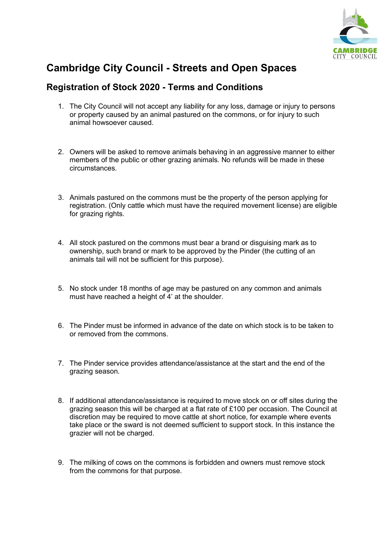

## **Cambridge City Council - Streets and Open Spaces**

## **Registration of Stock 2020 - Terms and Conditions**

- 1. The City Council will not accept any liability for any loss, damage or injury to persons or property caused by an animal pastured on the commons, or for injury to such animal howsoever caused.
- 2. Owners will be asked to remove animals behaving in an aggressive manner to either members of the public or other grazing animals. No refunds will be made in these circumstances.
- 3. Animals pastured on the commons must be the property of the person applying for registration. (Only cattle which must have the required movement license) are eligible for grazing rights.
- 4. All stock pastured on the commons must bear a brand or disguising mark as to ownership, such brand or mark to be approved by the Pinder (the cutting of an animals tail will not be sufficient for this purpose).
- 5. No stock under 18 months of age may be pastured on any common and animals must have reached a height of 4' at the shoulder.
- 6. The Pinder must be informed in advance of the date on which stock is to be taken to or removed from the commons.
- 7. The Pinder service provides attendance/assistance at the start and the end of the grazing season.
- 8. If additional attendance/assistance is required to move stock on or off sites during the grazing season this will be charged at a flat rate of £100 per occasion. The Council at discretion may be required to move cattle at short notice, for example where events take place or the sward is not deemed sufficient to support stock. In this instance the grazier will not be charged.
- 9. The milking of cows on the commons is forbidden and owners must remove stock from the commons for that purpose.